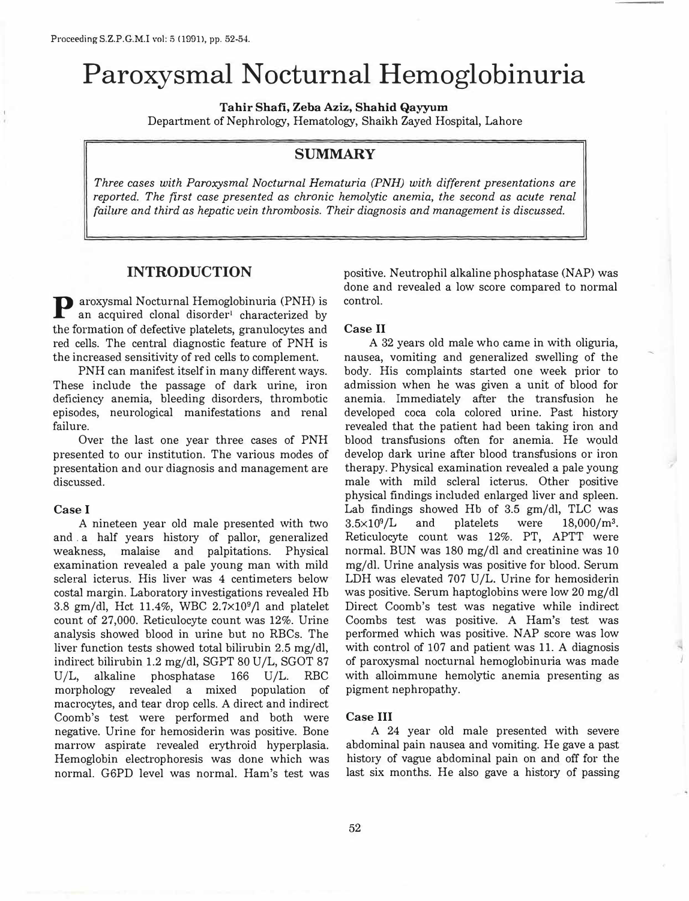# **Paroxysmal Nocturnal Hemoglobinuria**

**Tahir Shafi, Zeba Aziz, Shahid Qayyum** 

Department of Nephrology, Hematology, Shaikh Zayed Hospital, Lahore

## **SUMMARY**

*Three cases with Paroxysmal Nocturnal Hematuria (PNH) with different presentations are reported. The first case presented as chronic hemolytic anemia, the second as acute renal failure and third as hepatic vein thrombosis. Their diagnosis and management is discussed.* 

## **INTRODUCTION**

P aroxysmal Nocturnal Hemoglobinuria (PNH) is an acquired clonal disorder<sup>1</sup> characterized by the formation of defective platelets, granulocytes and red cells. The central diagnostic feature of PNH is the increased sensitivity of red cells to complement.

PNH can manifest itself in many different ways. These include the passage of dark urine, iron deficiency anemia, bleeding disorders, thrombotic episodes, neurological manifestations and renal failure.

Over the last one year three cases of PNH presented to our institution. The various modes of presentation and our diagnosis and management are discussed.

#### **Case I**

A nineteen year old male presented with two and . a half years history of pallor, generalized weakness, malaise and palpitations. Physical examination revealed a pale young man with mild scleral icterus. His liver was 4 centimeters below costal margin. Laboratory investigations revealed Hb 3.8 gm/dl, Hct 11.4%, WBC 2.7xl0**<sup>9</sup>**/l and platelet count of 27,000. Reticulocyte count was 12%. Urine analysis showed blood in urine but no RBCs. The liver function tests showed total bilirubin 2.5 mg/dl, indirect bilirubin 1.2 mg/dl, SGPT 80 U/L, SGOT 87 U/L, alkaline phosphatase 166 U/L. RBC morphology revealed a mixed population of macrocytes, and tear drop cells. A direct and indirect Coomb's test were performed and both were negative. Urine for hemosiderin was positive. Bone marrow aspirate revealed erythroid hyperplasia. Hemoglobin electrophoresis was done which was normal. G6PD level was normal. Ham's test was positive. Neutrophil alkaline phosphatase (NAP) was done and revealed a low score compared to normal control.

#### **Case II**

A 32 years old male who came in with oliguria, nausea, vomiting and generalized swelling of the body. His complaints started one week prior to admission when he was given a unit of blood for anemia. Immediately after the transfusion he developed coca cola colored urine. Past history revealed that the patient had been taking iron and blood transfusions often for anemia. He would develop dark urine after blood transfusions or iron therapy. Physical examination revealed a pale young male with mild scleral icterus. Other positive physical findings included enlarged liver and spleen. Lab findings showed Hb of 3.5 gm/dl, TLC was  $3.5 \times 10^9$ /L and platelets were  $18,000/m^3$ . Reticulocyte count was 12%. PT, APTT were normal. BUN was 180 mg/dl and creatinine was 10 mg/dl. Urine analysis was positive for blood. Serum LDH was elevated 707 U/L. Urine for hemosiderin was positive. Serum haptoglobins were low 20 mg/dl Direct Coomb's test was negative while indirect Coombs test was positive. A Ham's test was performed which was positive. NAP score was low with control of 107 and patient was 11. A diagnosis of paroxysmal nocturnal hemoglobinuria was made with alloimmune hemolytic anemia presenting as pigment nephropathy.

#### **Case III**

A 24 year old male presented with severe abdominal pain nausea and vomiting. He gave a past history of vague abdominal pain on and off for the last six months. He also gave a history of passing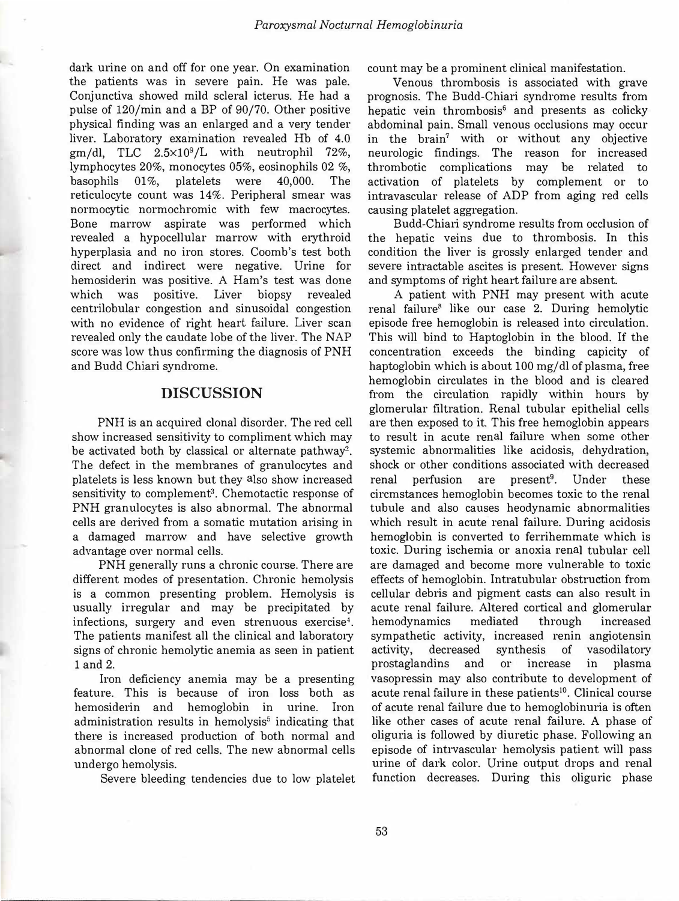dark urine on and off for one year. On examination the patients was in severe pain. He was pale. Conjunctiva showed mild scleral icterus. He had a pulse of 120/min and a BP of 90/70. Other positive physical finding was an enlarged and a very tender liver. Laboratory examination revealed Hb of 4.0  $gm/dl$ , TLC  $2.5 \times 10^9/L$  with neutrophil 72%, lymphocytes 20%, monocytes 05%, eosinophils 02 %, basophils 01%, platelets were 40,000. The reticulocyte count was 14%. Peripheral smear was normocytic normochromic with few macrocytes. Bone marrow aspirate was performed which revealed a hypocellular marrow with erythroid hyperplasia and no iron stores. Coomb's test both direct and indirect were negative. Urine for hemosiderin was positive. A Ham's test was done which was positive. Liver biopsy revealed centrilobular congestion and sinusoidal congestion with no evidence of right heart failure. Liver scan revealed only the caudate lobe of the liver. The NAP score was low thus confirming the diagnosis of PNH and Budd Chiari syndrome.

## **DISCUSSION**

PNH is an acquired clonal disorder. The red cell show increased sensitivity to compliment which may be activated both by classical or alternate pathway<sup>2</sup>. The defect in the membranes of granulocytes and platelets is less known but they also show increased sensitivity to complement<sup>3</sup>. Chemotactic response of PNH granulocytes is also abnormal. The abnormal cells are derived from a somatic mutation arising in a damaged marrow and have selective growth advantage over normal cells.

PNH generally runs a chronic course. There are different modes of presentation. Chronic hemolysis is a common presenting problem. Hemolysis is usually irregular and may be precipitated by infections, surgery and even strenuous exercise<sup>4</sup> . The patients manifest all the clinical and laboratory signs of chronic hemolytic anemia as seen in patient 1 and 2.

Iron deficiency anemia may be a presenting feature. This is because of iron loss both as hemosiderin and hemoglobin in urine. Iron administration results in hemolysis<sup>5</sup> indicating that there is increased production of both normal and abnormal clone of red cells. The new abnormal cells undergo hemolysis.

Severe bleeding tendencies due to low platelet

count may be a prominent clinical manifestation.

Venous thrombosis is associated with grave prognosis. The Budd-Chiari syndrome results from hepatic vein thrombosis**<sup>6</sup>**and presents as colicky abdominal pain. Small venous occlusions may occur in the brain**<sup>7</sup>**with or without any objective neurologic findings. The reason for increased thrombotic complications may be related to activation of platelets by complement or to intravascular release of ADP from aging red cells causing platelet aggregation.

Budd-Chiari syndrome results from occlusion of the hepatic veins due to thrombosis. In this condition the liver is grossly enlarged tender and severe intractable ascites is present. However sign<sup>s</sup> and symptoms of right heart failure are absent.

A patient with PNH may present with acute renal failure**8** like our case 2. During hemolytic episode free hemoglobin is released into circulation. This will bind to Haptoglobin in the blood. If the concentration exceeds the binding capicity of haptoglobin which is about 100 mg/dl of plasma, free hemoglobin circulates in the blood and is cleared from the circulation rapidly within hours by glomerular filtration. Renal tubular epithelial cells are then exposed to it. This free hemoglobin appears to result in acute renal failure when some other systemic abnormalities like acidosis, dehydration, shock or other conditions associated with decreased renal perfusion are present<sup>9</sup>. Under these circmstances hemoglobin becomes toxic to the renal tubule and also causes heodynamic abnormalities which result in acute renal failure. During acidosis hemoglobin is converted to ferrihemmate which is toxic. During ischemia or anoxia renal tubular cell are damaged and become more vulnerable to toxic effects of hemoglobin. Intratubular obstruction from cellular debris and pigment casts can also result in acute renal failure. Altered cortical and glomerular hemodynamics mediated through increased sympathetic activity, increased renin angiotensin activity, decreased synthesis of vasodilatory prostaglandins and or increase in plasma vasopressin may also contribute to development of acute renal failure in these patients**<sup>10</sup> •** Clinical course of acute renal failure due to hemoglobinuria is often like other cases of acute renal failure. A phase of oliguria is followed by diuretic phase. Following an episode of intrvascular hemolysis patient will pass urine of dark color. Urine output drops and renal function decreases. During this oliguric phase